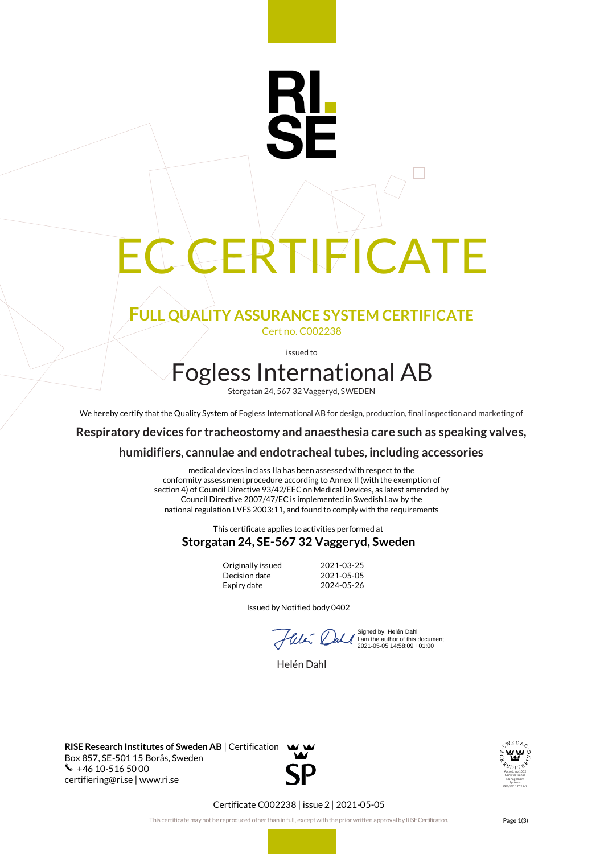# CERTIFICATE

RI.

# **FULL QUALITY ASSURANCE SYSTEM CERTIFICATE** Cert no. C002238

issued to

# Fogless International AB

Storgatan 24, 567 32 Vaggeryd, SWEDEN

We hereby certify that the Quality System of Fogless International AB for design, production, final inspection and marketing of

**Respiratory devices for tracheostomy and anaesthesia care such as speaking valves,**

#### **humidifiers, cannulae and endotracheal tubes, including accessories**

medical devices in class IIa has been assessed with respect to the conformity assessment procedure according to Annex II (with the exemption of section 4) of Council Directive 93/42/EEC on Medical Devices, as latest amended by Council Directive 2007/47/EC is implemented in Swedish Law by the national regulation LVFS 2003:11, and found to comply with the requirements

#### This certificate applies to activities performed at **Storgatan 24, SE-567 32 Vaggeryd, Sweden**

Originally issued 2021-03-25<br>Decision date 2021-05-05 Decision date Expiry date 2024-05-26

Issued by Notified body 0402

 $\sim$ 

Signed by: Helén Dahl I am the author of this document 2021-05-05 14:58:09 +01:00

Helén Dahl

**RISE Research Institutes of Sweden AB** | Certification Box 857, SE-501 15 Borås, Sweden  $\bullet$  +46 10-516 5000 certifiering@ri.se | www.ri.se



#### Certificate C002238 | issue 2 | 2021-05-05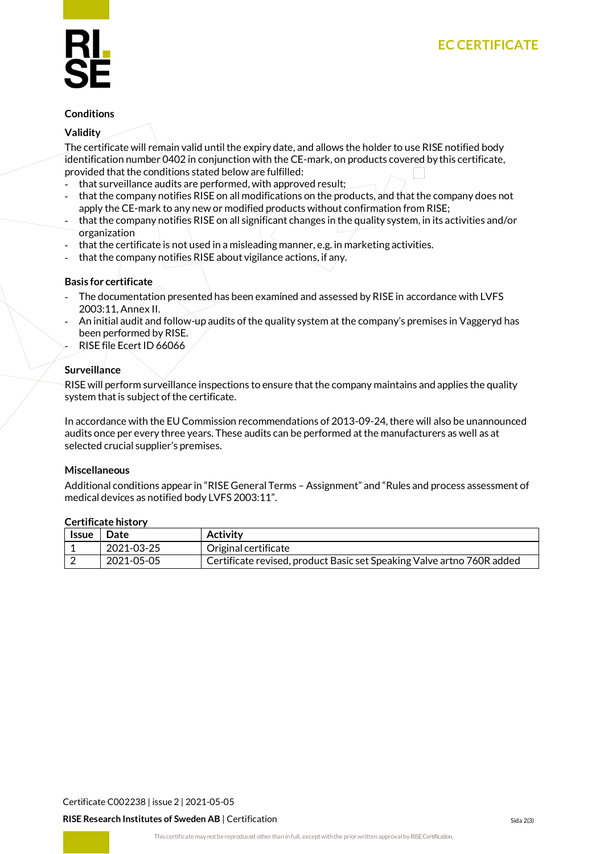#### **Conditions**

#### **Validity**

The certificate will remain valid until the expiry date, and allows the holder to use RISE notified body identification number 0402 in conjunction with the CE-mark, on products covered by this certificate, provided that the conditions stated below are fulfilled:

- that surveillance audits are performed, with approved result;
- that the company notifies RISE on all modifications on the products, and that the company does not apply the CE-mark to any new or modified products without confirmation from RISE;
- that the company notifies RISE on all significant changes in the quality system, in its activities and/or organization
- that the certificate is not used in a misleading manner, e.g. in marketing activities.
- that the company notifies RISE about vigilance actions, if any.

# **Basis for certificate**

- The documentation presented has been examined and assessed by RISE in accordance with LVFS 2003:11, Annex II.
- An initial audit and follow-up audits of the quality system at the company's premises in Vaggeryd has been performed by RISE.
- RISE file Ecert ID 66066

### **Surveillance**

RISE will perform surveillance inspections to ensure that the company maintains and applies the quality system that is subject of the certificate.

In accordance with the EU Commission recommendations of 2013-09-24, there will also be unannounced audits once per every three years. These audits can be performed at the manufacturers as well as at selected crucial supplier's premises.

#### **Miscellaneous**

Additional conditions appear in "RISE General Terms – Assignment" and "Rules and process assessment of medical devices as notified body LVFS 2003:11".

#### **Certificate history**

| <b>Issue</b> | Date       | Activity                                                               |
|--------------|------------|------------------------------------------------------------------------|
|              | 2021-03-25 | Original certificate                                                   |
|              | 2021-05-05 | Certificate revised, product Basic set Speaking Valve artno 760R added |

Certificate C002238 | issue 2 | 2021-05-05